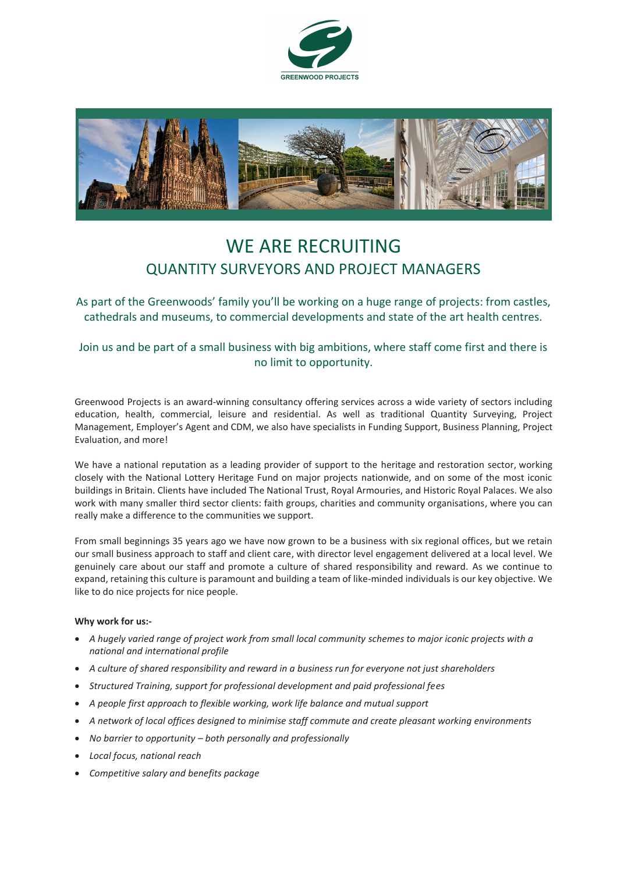



# WE ARE RECRUITING QUANTITY SURVEYORS AND PROJECT MANAGERS

As part of the Greenwoods' family you'll be working on a huge range of projects: from castles, cathedrals and museums, to commercial developments and state of the art health centres.

## Join us and be part of a small business with big ambitions, where staff come first and there is no limit to opportunity.

Greenwood Projects is an award-winning consultancy offering services across a wide variety of sectors including education, health, commercial, leisure and residential. As well as traditional Quantity Surveying, Project Management, Employer's Agent and CDM, we also have specialists in Funding Support, Business Planning, Project Evaluation, and more!

We have a national reputation as a leading provider of support to the heritage and restoration sector, working closely with the National Lottery Heritage Fund on major projects nationwide, and on some of the most iconic buildings in Britain. Clients have included The National Trust, Royal Armouries, and Historic Royal Palaces. We also work with many smaller third sector clients: faith groups, charities and community organisations, where you can really make a difference to the communities we support.

From small beginnings 35 years ago we have now grown to be a business with six regional offices, but we retain our small business approach to staff and client care, with director level engagement delivered at a local level. We genuinely care about our staff and promote a culture of shared responsibility and reward. As we continue to expand, retaining this culture is paramount and building a team of like-minded individuals is our key objective. We like to do nice projects for nice people.

#### **Why work for us:-**

- *A hugely varied range of project work from small local community schemes to major iconic projects with a national and international profile*
- *A culture of shared responsibility and reward in a business run for everyone not just shareholders*
- *Structured Training, support for professional development and paid professional fees*
- *A people first approach to flexible working, work life balance and mutual support*
- *A network of local offices designed to minimise staff commute and create pleasant working environments*
- *No barrier to opportunity – both personally and professionally*
- *Local focus, national reach*
- *Competitive salary and benefits package*